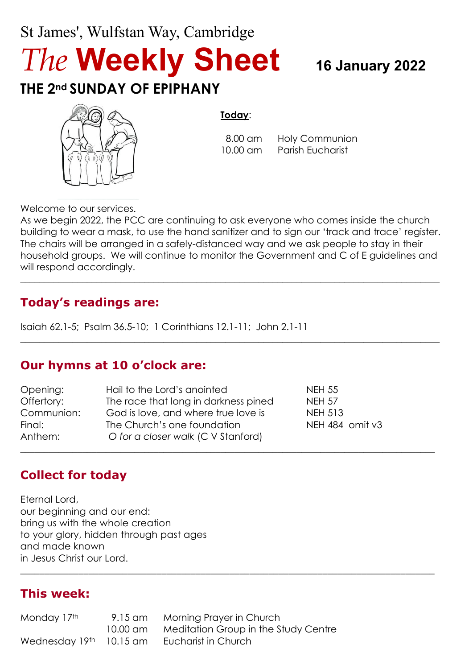# St James', Wulfstan Way, Cambridge *The* **Weekly Sheet <sup>16</sup> January 2022**

# **THE 2nd SUNDAY OF EPIPHANY**



#### **Today**:

 8.00 am Holy Communion 10.00 am Parish Eucharist

Welcome to our services.

As we begin 2022, the PCC are continuing to ask everyone who comes inside the church building to wear a mask, to use the hand sanitizer and to sign our 'track and trace' register. The chairs will be arranged in a safely-distanced way and we ask people to stay in their household groups. We will continue to monitor the Government and C of E guidelines and will respond accordingly.

 $\_$  , and the set of the set of the set of the set of the set of the set of the set of the set of the set of the set of the set of the set of the set of the set of the set of the set of the set of the set of the set of th

 $\_$  , and the set of the set of the set of the set of the set of the set of the set of the set of the set of the set of the set of the set of the set of the set of the set of the set of the set of the set of the set of th

\_\_\_\_\_\_\_\_\_\_\_\_\_\_\_\_\_\_\_\_\_\_\_\_\_\_\_\_\_\_\_\_\_\_\_\_\_\_\_\_\_\_\_\_\_\_\_\_\_\_\_\_\_\_\_\_\_\_\_\_\_\_\_\_\_\_\_\_\_\_\_\_\_\_\_\_\_\_\_\_\_\_\_\_\_

#### **Today's readings are:**

Isaiah 62.1-5; Psalm 36.5-10; 1 Corinthians 12.1-11; John 2.1-11

# **Our hymns at 10 o'clock are:**

| Opening:   | Hail to the Lord's anointed          | <b>NEH 55</b>   |
|------------|--------------------------------------|-----------------|
| Offertory: | The race that long in darkness pined | <b>NEH 57</b>   |
| Communion: | God is love, and where true love is  | <b>NEH 513</b>  |
| Final:     | The Church's one foundation          | NEH 484 omit v3 |
| Anthem:    | O for a closer walk (C V Stanford)   |                 |
|            |                                      |                 |

# **Collect for today**

Eternal Lord, our beginning and our end: bring us with the whole creation to your glory, hidden through past ages and made known in Jesus Christ our Lord.

#### **This week:**

| Monday 17th             | 9.15 am  | Morning Prayer in Church             |
|-------------------------|----------|--------------------------------------|
|                         | 10.00 am | Meditation Group in the Study Centre |
| Wednesday 19th 10.15 am |          | Eucharist in Church                  |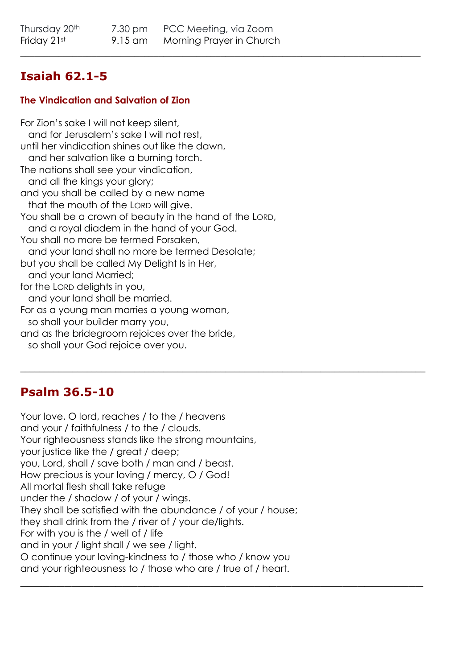$\_$  , and the set of the set of the set of the set of the set of the set of the set of the set of the set of the set of the set of the set of the set of the set of the set of the set of the set of the set of the set of th

 $\_$  , and the set of the set of the set of the set of the set of the set of the set of the set of the set of the set of the set of the set of the set of the set of the set of the set of the set of the set of the set of th

\_\_\_\_\_\_\_\_\_\_\_\_\_\_\_\_\_\_\_\_\_\_\_\_\_\_\_\_\_\_\_\_\_\_\_\_\_\_\_\_\_\_\_\_\_\_\_\_\_\_\_\_\_\_\_

# **Isaiah 62.1-5**

#### **The Vindication and Salvation of Zion**

For Zion's sake I will not keep silent, and for Jerusalem's sake I will not rest, until her vindication shines out like the dawn, and her salvation like a burning torch. The nations shall see your vindication, and all the kings your glory; and you shall be called by a new name that the mouth of the LORD will give. You shall be a crown of beauty in the hand of the LORD, and a royal diadem in the hand of your God. You shall no more be termed Forsaken, and your land shall no more be termed Desolate; but you shall be called My Delight Is in Her, and your land Married; for the LORD delights in you, and your land shall be married. For as a young man marries a young woman, so shall your builder marry you, and as the bridegroom rejoices over the bride, so shall your God rejoice over you.

# **Psalm 36.5-10**

Your love, O lord, reaches / to the / heavens and your / faithfulness / to the / clouds. Your righteousness stands like the strong mountains, your justice like the / great / deep; you, Lord, shall / save both / man and / beast. How precious is your loving / mercy, O / God! All mortal flesh shall take refuge under the / shadow / of your / wings. They shall be satisfied with the abundance / of your / house; they shall drink from the / river of / your de/lights. For with you is the / well of / life and in your / light shall / we see / light. O continue your loving-kindness to / those who / know you and your righteousness to / those who are / true of / heart.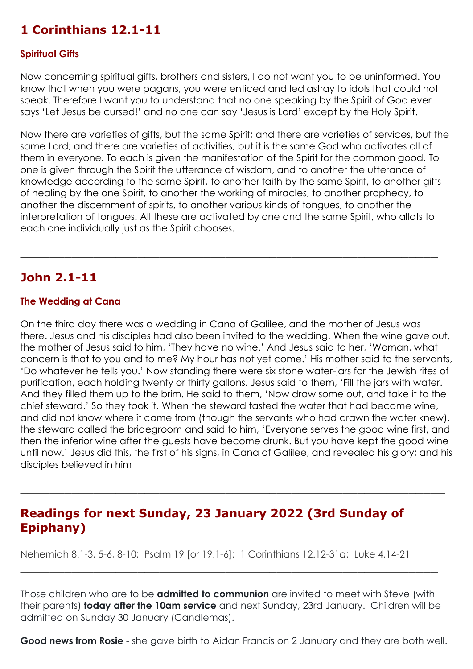# **1 Corinthians 12.1-11**

#### **Spiritual Gifts**

Now concerning spiritual gifts, brothers and sisters, I do not want you to be uninformed. You know that when you were pagans, you were enticed and led astray to idols that could not speak. Therefore I want you to understand that no one speaking by the Spirit of God ever says 'Let Jesus be cursed!' and no one can say 'Jesus is Lord' except by the Holy Spirit.

Now there are varieties of gifts, but the same Spirit; and there are varieties of services, but the same Lord; and there are varieties of activities, but it is the same God who activates all of them in everyone. To each is given the manifestation of the Spirit for the common good. To one is given through the Spirit the utterance of wisdom, and to another the utterance of knowledge according to the same Spirit, to another faith by the same Spirit, to another gifts of healing by the one Spirit, to another the working of miracles, to another prophecy, to another the discernment of spirits, to another various kinds of tongues, to another the interpretation of tongues. All these are activated by one and the same Spirit, who allots to each one individually just as the Spirit chooses.

\_\_\_\_\_\_\_\_\_\_\_\_\_\_\_\_\_\_\_\_\_\_\_\_\_\_\_\_\_\_\_\_\_\_\_\_\_\_\_\_\_\_\_\_\_\_\_\_\_\_\_\_\_\_\_\_\_

#### **John 2.1-11**

#### **The Wedding at Cana**

On the third day there was a wedding in Cana of Galilee, and the mother of Jesus was there. Jesus and his disciples had also been invited to the wedding. When the wine gave out, the mother of Jesus said to him, 'They have no wine.' And Jesus said to her, 'Woman, what concern is that to you and to me? My hour has not yet come.' His mother said to the servants, 'Do whatever he tells you.' Now standing there were six stone water-jars for the Jewish rites of purification, each holding twenty or thirty gallons. Jesus said to them, 'Fill the jars with water.' And they filled them up to the brim. He said to them, 'Now draw some out, and take it to the chief steward.' So they took it. When the steward tasted the water that had become wine, and did not know where it came from (though the servants who had drawn the water knew), the steward called the bridegroom and said to him, 'Everyone serves the good wine first, and then the inferior wine after the guests have become drunk. But you have kept the good wine until now.' Jesus did this, the first of his signs, in Cana of Galilee, and revealed his glory; and his disciples believed in him

\_\_\_\_\_\_\_\_\_\_\_\_\_\_\_\_\_\_\_\_\_\_\_\_\_\_\_\_\_\_\_\_\_\_\_\_\_\_\_\_\_\_\_\_\_\_\_\_\_\_\_\_\_\_\_\_\_\_

#### **Readings for next Sunday, 23 January 2022 (3rd Sunday of Epiphany)**

Nehemiah 8.1-3, 5-6, 8-10; Psalm 19 [or 19.1-6]; 1 Corinthians 12.12-31*a*; Luke 4.14-21

Those children who are to be **admitted to communion** are invited to meet with Steve (with their parents) **today after the 10am service** and next Sunday, 23rd January. Children will be admitted on Sunday 30 January (Candlemas).

\_\_\_\_\_\_\_\_\_\_\_\_\_\_\_\_\_\_\_\_\_\_\_\_\_\_\_\_\_\_\_\_\_\_\_\_\_\_\_\_\_\_\_\_\_\_\_\_\_\_\_\_\_\_\_\_\_

**Good news from Rosie** - she gave birth to Aidan Francis on 2 January and they are both well.